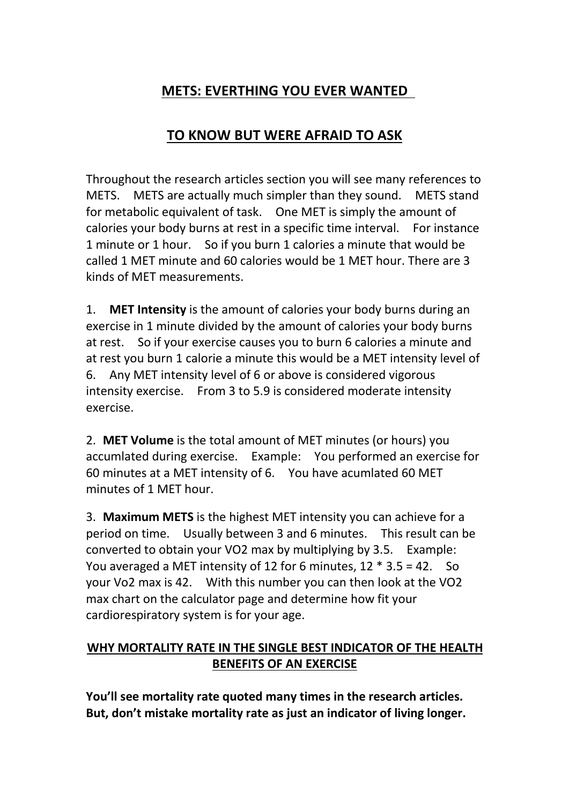## **METS: EVERTHING YOU EVER WANTED**

## **TO KNOW BUT WERE AFRAID TO ASK**

Throughout the research articles section you will see many references to METS. METS are actually much simpler than they sound. METS stand for metabolic equivalent of task. One MET is simply the amount of calories your body burns at rest in a specific time interval. For instance 1 minute or 1 hour. So if you burn 1 calories a minute that would be called 1 MET minute and 60 calories would be 1 MET hour. There are 3 kinds of MET measurements.

1. **MET Intensity** is the amount of calories your body burns during an exercise in 1 minute divided by the amount of calories your body burns at rest. So if your exercise causes you to burn 6 calories a minute and at rest you burn 1 calorie a minute this would be a MET intensity level of 6. Any MET intensity level of 6 or above is considered vigorous intensity exercise. From 3 to 5.9 is considered moderate intensity exercise.

2. **MET Volume** is the total amount of MET minutes (or hours) you accumlated during exercise. Example: You performed an exercise for 60 minutes at a MET intensity of 6. You have acumlated 60 MET minutes of 1 MET hour.

3. **Maximum METS** is the highest MET intensity you can achieve for a period on time. Usually between 3 and 6 minutes. This result can be converted to obtain your VO2 max by multiplying by 3.5. Example: You averaged a MET intensity of 12 for 6 minutes,  $12 * 3.5 = 42$ . So your Vo2 max is 42. With this number you can then look at the VO2 max chart on the calculator page and determine how fit your cardiorespiratory system is for your age.

## **WHY MORTALITY RATE IN THE SINGLE BEST INDICATOR OF THE HEALTH BENEFITS OF AN EXERCISE**

**You'll see mortality rate quoted many times in the research articles. But, don't mistake mortality rate as just an indicator of living longer.**